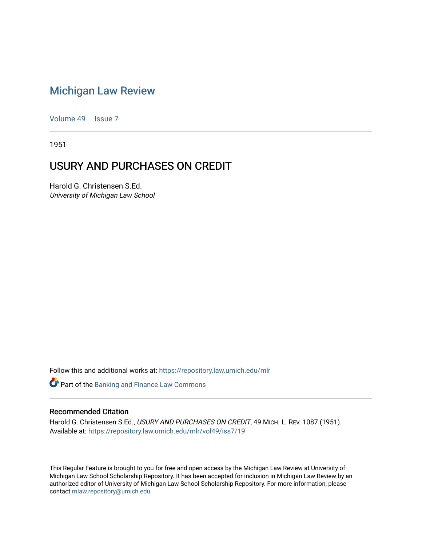## [Michigan Law Review](https://repository.law.umich.edu/mlr)

[Volume 49](https://repository.law.umich.edu/mlr/vol49) | [Issue 7](https://repository.law.umich.edu/mlr/vol49/iss7)

1951

## USURY AND PURCHASES ON CREDIT

Harold G. Christensen S.Ed. University of Michigan Law School

Follow this and additional works at: [https://repository.law.umich.edu/mlr](https://repository.law.umich.edu/mlr?utm_source=repository.law.umich.edu%2Fmlr%2Fvol49%2Fiss7%2F19&utm_medium=PDF&utm_campaign=PDFCoverPages) 

**Part of the Banking and Finance Law Commons** 

## Recommended Citation

Harold G. Christensen S.Ed., USURY AND PURCHASES ON CREDIT, 49 MICH. L. REV. 1087 (1951). Available at: [https://repository.law.umich.edu/mlr/vol49/iss7/19](https://repository.law.umich.edu/mlr/vol49/iss7/19?utm_source=repository.law.umich.edu%2Fmlr%2Fvol49%2Fiss7%2F19&utm_medium=PDF&utm_campaign=PDFCoverPages) 

This Regular Feature is brought to you for free and open access by the Michigan Law Review at University of Michigan Law School Scholarship Repository. It has been accepted for inclusion in Michigan Law Review by an authorized editor of University of Michigan Law School Scholarship Repository. For more information, please contact [mlaw.repository@umich.edu](mailto:mlaw.repository@umich.edu).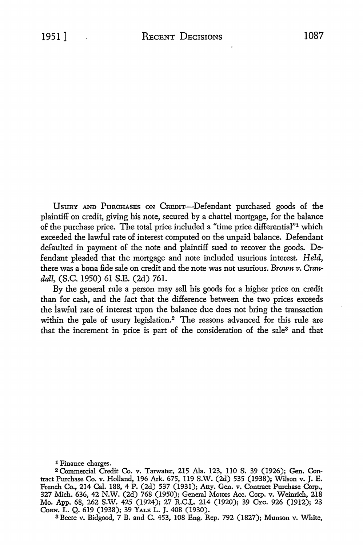UsuRY AND PuRCHASEs ON CREDIT-Defendant purchased goods of the plaintiff on credit, giving his note, secured by a chattel mortgage, for the balance of the purchase price. The total price included a "time price differential"1 which exceeded the lawful rate of interest computed on the unpaid balance. Defendant defaulted in payment of the note and plaintiff sued to recover the goods. Defendant pleaded that the mortgage and note included usurious interest. *Held,*  there was a bona fide sale on credit and the note was not usurious. *Brownv. Crandall,* (S.C. 1950) 61 S.E. (2d) 761.

By the general rule a person may sell his goods for a higher price on credit than for cash, and the fact that the difference between the two prices exceeds the iawful rate of interest upon the balance due does not bring the transaction within the pale of usury legislation.<sup>2</sup> The reasons advanced for this rule are that the increment in price is part of the consideration of the sale3 and that

1 Finance charges.

2 Commercial Credit Co. v. Tarwater, 215 Ala. 123, ll0 S. 39 (1926); Gen. Contract Purchase Co. v. Holland, 196 Ark. 675, ll9 S.W. (2d) 535 (1938); Wilson v. J. E. French Co., 214 Cal. 188, 4 P. (2d) 537 (1931); Atty. Gen. v. Contract Purchase Corp., 327 Mich. 636, 42 N.W. (2d) 768 (1950); General Motors Acc. Corp. v. Weinrich, 218 Mo. App. 68, 262 S.W. 425 (1924); 27 R.C.L. 214 (1920); 39 CYc. 926 (1912); 23 CoRN. L. Q. 619 (1938); 39 YALE L. J. 408 (1930).

3 Beete v. Bidgood, 7 B. and C. 453, 108 Eng. Rep. 792 (1827); Munson v. White,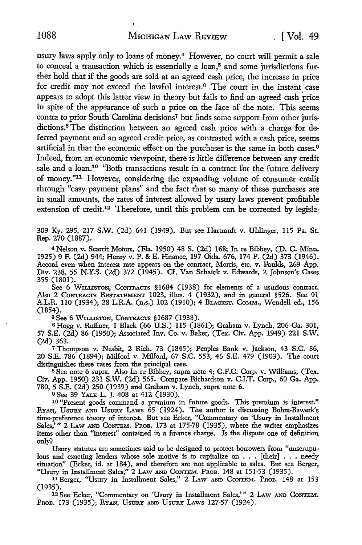usury laws apply only to loans of money.4 However, no court will permit a sale to conceal a transaction which is essentially a loan,<sup>5</sup> and some jurisdictions further hold that if the goods are sold at an agreed cash price, the increase in price for credit may not exceed the lawful interest.6 The court in the instant case appears to adopt this latter view in theory but fails to find an agreed cash price in spite of the appearance of such a price on the face of the note. This seems contra to prior South Carolina decisions7 but finds some support from other jurisdictions. 8 The distinction between an agreed cash price with a charge for deferred payment and an agreed credit price, as contrasted with a cash price, seems artificial in that the economic effect on the purchaser is the same in both cases.<sup>9</sup> Indeed, from an economic viewpoint, there is little difference between any credit sale and a loan.<sup>10</sup> "Both transactions result in a contract for the future delivery of money."11 However, considering the expanding volume of consumer credit through "easy payment plans" and the fact that so many of these purchases are in small amounts, the rates of interest allowed by usury laws prevent profitable extension of credit.<sup>12</sup> Therefore, until this problem can be corrected by legisla-

309 Ky. 295, 217 S.W. (2d) 641 (1949). But see Hartranft v. Ohlinger, 115 Pa. St. Rep. 270 (1887).

<sup>4</sup>Nelson v. Scarrit Motors, (Fla. 1950) 48 S. (2d) 168; In re Bihhey, (D. C. Minn. 1925) 9 F. (2d) 944; Henry v. P. & E. Finance, 197 Okla. 676, 174 P. (2d) 373 (1946). Accord even when interest rate appears on the contract, Morris, etc. v. Faulds, 269 App. Div. 238, 55 N.Y.S. (2d) 372 (1945). Cf. Van Schaick v. Edwards, 2 Johnson's Cases 355 (1801).

See 6 WILLISTON, CONTRACTS §1684 (1938) for elements of a usurious contract. Also 2 CONTRACTS RESTATEMENT 1023, illus. 4 (1932), and in general §526. See 91 A.L.R. 110 (1934); 28 L.R.A. (n.s.) 102 (1910); 4 BLACKST. CoMM., Wendell ed., 156 (1854).

<sup>5</sup>See 6 WILLISTON, CoNTRACTS § 1687 (1938).

6 Hogg v. Ruffner, 1 Black (66 U.S.) 115 (1861); Graham v. Lynch, 206 Ga. 301, 57 S.E. (2d) 86 (1950); Associated Inv. Co. v. Baker, (Tex. Civ. App. 1949) 221 S.W. (2d) 363.

7 Thompson v. Nesbit, 2 Rich. 73 (1845); Peoples Bank v. Jackson, 43 S.C. 86, 20 S.E. 786 (1894); Milford v. Milford, 67 S.C. 553, 46 S.E. 479 (1903). The court distinguishes these cases from the principal case.

<sup>8</sup>See note 6 supra. Also In re Bihbey, supra note 4; G.F.C. Corp. v. Williams, (Tex. Civ. App. 1950) 231 S.W. (2d) 565. Compare Richardson v. C.I.T. Corp., 60 Ga. App. 780, 5 S.E. (2d) 250 (1939) and Graham v. Lynch, supra note 6.

<sup>9</sup>See 39 YALE L. J. 408 at 412 (1930).

10 "Present goods command a premium in future goods. This premium is interest." RYAN, UsuRY AND UsURY LAWS 65 (1924). The author is discussing Bohm-Bawerk's time-preference theory of interest. But see Ecker, "Commentary on 'Usury in Installment Sales,'" 2 LAW AND CONTEM. PROB. 173 at 175-78 (1935), where the writer emphasizes items other than "interest'' contained in a finance charge. Is the dispute one of definition only?

Usury statutes are sometimes said to he designed to protect borrowers from "unscrupulous and exacting lenders whose sole motive is to capitalize on  $\ldots$  [their]  $\ldots$  needy situation" (Ecker, id. at 184), and therefore are not applicable to sales. But see Berger, "Usury in Installment Sales," 2 LAW AND CONTEM. PROB. 148 at 151-53 (1935).

11 Berger, "Usury in Installment Sales," 2 LAw AND CoNTEM. PROB. 148 at 153 (1935).

12 See Ecker, "Commentary on 'Usury in Installment Sales,'" 2 LAW AND CoNTEM. PROB. 173 (1935); RYAN, USURY AND USURY LAWS 127-57 (1924).